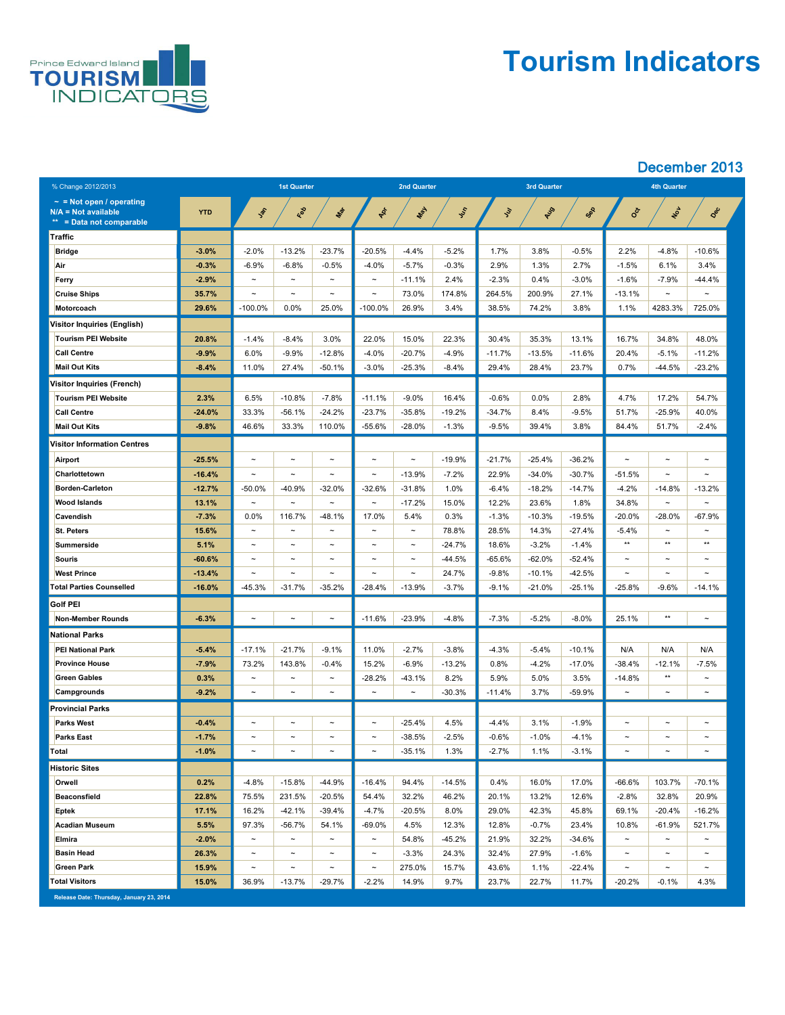

## **Tourism Indicators**

### December 2013

| % Change 2012/2013                                                                 |            | <b>1st Quarter</b>    |                       |                       | <b>2nd Quarter</b>    |             |               |               | <b>3rd Quarter</b> |          | <b>4th Quarter</b>    |                       |                       |
|------------------------------------------------------------------------------------|------------|-----------------------|-----------------------|-----------------------|-----------------------|-------------|---------------|---------------|--------------------|----------|-----------------------|-----------------------|-----------------------|
| $\sim$ = Not open / operating<br>$N/A = Not available$<br>** = Data not comparable | <b>YTD</b> | John                  | Red                   | Mar                   | PRI                   | <b>LASH</b> | <b>System</b> | $\mathcal{L}$ | AUS                | SOR      | 30cr                  | NON                   | Dec                   |
| Traffic                                                                            |            |                       |                       |                       |                       |             |               |               |                    |          |                       |                       |                       |
| <b>Bridge</b>                                                                      | $-3.0\%$   | $-2.0%$               | $-13.2%$              | $-23.7%$              | $-20.5%$              | $-4.4%$     | $-5.2%$       | 1.7%          | 3.8%               | $-0.5%$  | 2.2%                  | $-4.8%$               | $-10.6%$              |
| Air                                                                                | $-0.3%$    | $-6.9%$               | $-6.8%$               | $-0.5%$               | $-4.0%$               | $-5.7%$     | $-0.3%$       | 2.9%          | $1.3\%$            | 2.7%     | $-1.5%$               | 6.1%                  | 3.4%                  |
| <b>Ferry</b>                                                                       | $-2.9%$    | $\tilde{\phantom{a}}$ | $\tilde{\phantom{m}}$ | $\sim$                | $\tilde{\phantom{a}}$ | $-11.1%$    | 2.4%          | $-2.3%$       | 0.4%               | $-3.0\%$ | $-1.6%$               | $-7.9%$               | $-44.4%$              |
| <b>Cruise Ships</b>                                                                | 35.7%      | $\tilde{\phantom{a}}$ | $\thicksim$           | $\tilde{\phantom{m}}$ | $\tilde{\phantom{a}}$ | 73.0%       | 174.8%        | 264.5%        | 200.9%             | 27.1%    | $-13.1%$              | $\tilde{\phantom{m}}$ | $\tilde{\phantom{m}}$ |
| <b>Motorcoach</b>                                                                  | 29.6%      | $-100.0\%$            | $0.0\%$               | 25.0%                 | $-100.0\%$            | 26.9%       | 3.4%          | 38.5%         | 74.2%              | 3.8%     | 1.1%                  | 4283.3%               | 725.0%                |
| <b>Visitor Inquiries (English)</b>                                                 |            |                       |                       |                       |                       |             |               |               |                    |          |                       |                       |                       |
| <b>Tourism PEI Website</b>                                                         | 20.8%      | $-1.4%$               | $-8.4%$               | 3.0%                  | 22.0%                 | 15.0%       | 22.3%         | 30.4%         | 35.3%              | 13.1%    | 16.7%                 | 34.8%                 | 48.0%                 |
| <b>Call Centre</b>                                                                 | $-9.9%$    | 6.0%                  | $-9.9%$               | $-12.8%$              | $-4.0%$               | $-20.7%$    | $-4.9%$       | $-11.7%$      | $-13.5%$           | $-11.6%$ | 20.4%                 | $-5.1%$               | $-11.2%$              |
| <b>Mail Out Kits</b>                                                               | $-8.4%$    | 11.0%                 | 27.4%                 | $-50.1%$              | $-3.0\%$              | $-25.3%$    | $-8.4%$       | 29.4%         | 28.4%              | 23.7%    | 0.7%                  | $-44.5%$              | $-23.2%$              |
| <b>Visitor Inquiries (French)</b>                                                  |            |                       |                       |                       |                       |             |               |               |                    |          |                       |                       |                       |
| <b>Tourism PEI Website</b>                                                         | 2.3%       | 6.5%                  | $-10.8%$              | $-7.8%$               | $-11.1%$              | $-9.0\%$    | 16.4%         | $-0.6%$       | $0.0\%$            | 2.8%     | 4.7%                  | 17.2%                 | 54.7%                 |
| <b>Call Centre</b>                                                                 | $-24.0%$   | 33.3%                 | $-56.1%$              | $-24.2%$              | $-23.7%$              | $-35.8%$    | $-19.2%$      | $-34.7%$      | 8.4%               | $-9.5%$  | 51.7%                 | $-25.9%$              | 40.0%                 |
| <b>Mail Out Kits</b>                                                               | $-9.8%$    | 46.6%                 | 33.3%                 | 110.0%                | $-55.6%$              | $-28.0\%$   | $-1.3%$       | $-9.5%$       | 39.4%              | 3.8%     | 84.4%                 | 51.7%                 | $-2.4%$               |
| <b>Visitor Information Centres</b>                                                 |            |                       |                       |                       |                       |             |               |               |                    |          |                       |                       |                       |
| <b>Airport</b>                                                                     | $-25.5%$   | $\tilde{\phantom{a}}$ | $\sim$                | $\tilde{\phantom{a}}$ | $\tilde{\phantom{a}}$ | $\thicksim$ | $-19.9%$      | $-21.7%$      | $-25.4%$           | $-36.2%$ | $\tilde{}$            | $\tilde{\phantom{a}}$ | $\tilde{\phantom{a}}$ |
| Charlottetown                                                                      | $-16.4%$   | $\sim$                | $\sim$                | $\sim$                | $\sim$                | $-13.9%$    | $-7.2%$       | 22.9%         | $-34.0%$           | $-30.7%$ | $-51.5%$              | $\thicksim$           | $\sim$                |
| <b>Borden-Carleton</b>                                                             | $-12.7%$   | $-50.0%$              | $-40.9%$              | $-32.0%$              | $-32.6%$              | $-31.8%$    | 1.0%          | $-6.4%$       | $-18.2%$           | $-14.7%$ | $-4.2%$               | $-14.8%$              | $-13.2%$              |
| <b>Wood Islands</b>                                                                | 13.1%      | $\thicksim$           | $\sim$                | $\sim$                | $\tilde{\phantom{m}}$ | $-17.2%$    | 15.0%         | 12.2%         | 23.6%              | 1.8%     | 34.8%                 | $\thicksim$           | $\sim$                |
| <b>Cavendish</b>                                                                   | $-7.3%$    | 0.0%                  | 116.7%                | $-48.1%$              | 17.0%                 | 5.4%        | 0.3%          | $-1.3%$       | $-10.3%$           | $-19.5%$ | $-20.0%$              | $-28.0%$              | $-67.9%$              |
| <b>St. Peters</b>                                                                  | 15.6%      | $\sim$                | $\thicksim$           | $\sim$                | $\tilde{\phantom{a}}$ | $\thicksim$ | 78.8%         | 28.5%         | 14.3%              | $-27.4%$ | $-5.4%$               | $\thicksim$           | $\thicksim$           |
| <b>Summerside</b>                                                                  | 5.1%       | $\tilde{\phantom{m}}$ | $\sim$                | $\sim$                | $\tilde{\phantom{a}}$ | $\thicksim$ | $-24.7%$      | 18.6%         | $-3.2%$            | $-1.4%$  | $***$                 | $***$                 | $***$                 |
| <b>Souris</b>                                                                      | $-60.6%$   | $\sim$                | $\sim$                | $\sim$                | $\tilde{\phantom{m}}$ | $\thicksim$ | $-44.5%$      | $-65.6%$      | $-62.0\%$          | $-52.4%$ | $\tilde{\phantom{m}}$ | $\tilde{\phantom{m}}$ | $\sim$                |
| <b>West Prince</b>                                                                 | $-13.4%$   | $\sim$                | $\sim$                | $\sim$                | $\tilde{\phantom{m}}$ | $\thicksim$ | 24.7%         | $-9.8%$       | $-10.1%$           | $-42.5%$ | $\sim$                | $\tilde{\phantom{m}}$ | $\sim$                |
| <b>Total Parties Counselled</b>                                                    | $-16.0%$   | $-45.3%$              | $-31.7%$              | $-35.2%$              | $-28.4\%$             | $-13.9%$    | $-3.7%$       | $-9.1\%$      | $-21.0\%$          | $-25.1%$ | $-25.8\%$             | $-9.6%$               | $-14.1%$              |
| <b>Golf PEI</b>                                                                    |            |                       |                       |                       |                       |             |               |               |                    |          |                       |                       |                       |
| <b>Non-Member Rounds</b>                                                           | $-6.3%$    | $\tilde{\phantom{a}}$ | $\sim$                | $\sim$                | $-11.6%$              | $-23.9%$    | $-4.8%$       | $-7.3%$       | $-5.2%$            | $-8.0\%$ | 25.1%                 | **                    | $\tilde{\phantom{m}}$ |
| <b>National Parks</b>                                                              |            |                       |                       |                       |                       |             |               |               |                    |          |                       |                       |                       |
| <b>PEI National Park</b>                                                           | $-5.4%$    | $-17.1%$              | $-21.7%$              | $-9.1%$               | 11.0%                 | $-2.7%$     | $-3.8%$       | $-4.3%$       | $-5.4\%$           | $-10.1%$ | N/A                   | N/A                   | N/A                   |
| <b>Province House</b>                                                              | $-7.9%$    | 73.2%                 | 143.8%                | $-0.4%$               | 15.2%                 | $-6.9%$     | $-13.2%$      | 0.8%          | $-4.2%$            | $-17.0%$ | $-38.4%$              | $-12.1%$              | $-7.5%$               |
| <b>Green Gables</b>                                                                | 0.3%       | $\tilde{\phantom{a}}$ | $\tilde{\phantom{a}}$ | $\tilde{\phantom{m}}$ | $-28.2%$              | $-43.1%$    | 8.2%          | 5.9%          | 5.0%               | 3.5%     | $-14.8%$              | $***$                 | $\tilde{\phantom{m}}$ |
| <b>Campgrounds</b>                                                                 | $-9.2%$    | $\thicksim$           | $\tilde{\phantom{m}}$ | $\sim$                | $\tilde{\phantom{a}}$ | $\thicksim$ | $-30.3%$      | $-11.4\%$     | 3.7%               | $-59.9%$ | $\sim$                | $\tilde{\phantom{m}}$ | $\sim$                |
| <b>Provincial Parks</b>                                                            |            |                       |                       |                       |                       |             |               |               |                    |          |                       |                       |                       |
| <b>Parks West</b>                                                                  | $-0.4%$    | $\sim$                | $\tilde{\phantom{m}}$ | $\sim$                | $\sim$                | $-25.4%$    | 4.5%          | $-4.4%$       | 3.1%               | $-1.9%$  | $\tilde{\phantom{m}}$ | $\thicksim$           | $\tilde{\phantom{m}}$ |
| <b>Parks East</b>                                                                  | $-1.7%$    | $\tilde{\phantom{a}}$ | $\thicksim$           | $\sim$                | $\sim$                | $-38.5%$    | $-2.5%$       | $-0.6%$       | $-1.0%$            | $-4.1%$  | $\tilde{\phantom{m}}$ | $\tilde{\phantom{m}}$ | $\thicksim$           |
| Total                                                                              | $-1.0%$    | $\thicksim$           | $\thicksim$           | $\thicksim$           | $\sim$                | $-35.1%$    | 1.3%          | $-2.7\%$      | 1.1%               | $-3.1%$  | $\tilde{\phantom{m}}$ | $\tilde{\phantom{m}}$ | $\sim$                |
| <b>Historic Sites</b>                                                              |            |                       |                       |                       |                       |             |               |               |                    |          |                       |                       |                       |
| <b>Orwell</b>                                                                      | 0.2%       | $-4.8%$               | $-15.8%$              | $-44.9%$              | $-16.4%$              | 94.4%       | $-14.5%$      | 0.4%          | 16.0%              | 17.0%    | $-66.6%$              | 103.7%                | $-70.1%$              |
| <b>Beaconsfield</b>                                                                | 22.8%      | 75.5%                 | 231.5%                | $-20.5%$              | 54.4%                 | 32.2%       | 46.2%         | 20.1%         | 13.2%              | 12.6%    | $-2.8%$               | 32.8%                 | 20.9%                 |
| <b>Eptek</b>                                                                       | 17.1%      | 16.2%                 | $-42.1%$              | $-39.4%$              | $-4.7%$               | $-20.5%$    | 8.0%          | 29.0%         | 42.3%              | 45.8%    | 69.1%                 | $-20.4%$              | $-16.2%$              |
| <b>Acadian Museum</b>                                                              | 5.5%       | 97.3%                 | $-56.7%$              | 54.1%                 | $-69.0\%$             | 4.5%        | 12.3%         | 12.8%         | $-0.7%$            | 23.4%    | 10.8%                 | $-61.9%$              | 521.7%                |
| <b>Elmira</b>                                                                      | $-2.0%$    | $\sim$                | $\sim$                | $\sim$                | $\sim$                | 54.8%       | $-45.2%$      | 21.9%         | 32.2%              | $-34.6%$ | $\sim$                | $\tilde{\phantom{m}}$ | $\sim$                |
| <b>Basin Head</b>                                                                  | 26.3%      | $\sim$                | $\sim$                | $\sim$                | $\sim$                | $-3.3%$     | 24.3%         | 32.4%         | 27.9%              | $-1.6%$  | $\tilde{\phantom{m}}$ | $\tilde{}$            | $\sim$                |
| <b>Green Park</b>                                                                  | 15.9%      | $\sim$                | $\sim$                | $\sim$                | $\sim$                | 275.0%      | 15.7%         | 43.6%         | 1.1%               | $-22.4%$ | $\sim$                | $\tilde{\phantom{m}}$ | $\sim$                |
| <b>Total Visitors</b>                                                              | 15.0%      | 36.9%                 | $-13.7%$              | $-29.7%$              | $-2.2%$               | 14.9%       | 9.7%          | 23.7%         | 22.7%              | 11.7%    | $-20.2\%$             | $-0.1%$               | 4.3%                  |

**Release Date: Thursday, January 23, 2014**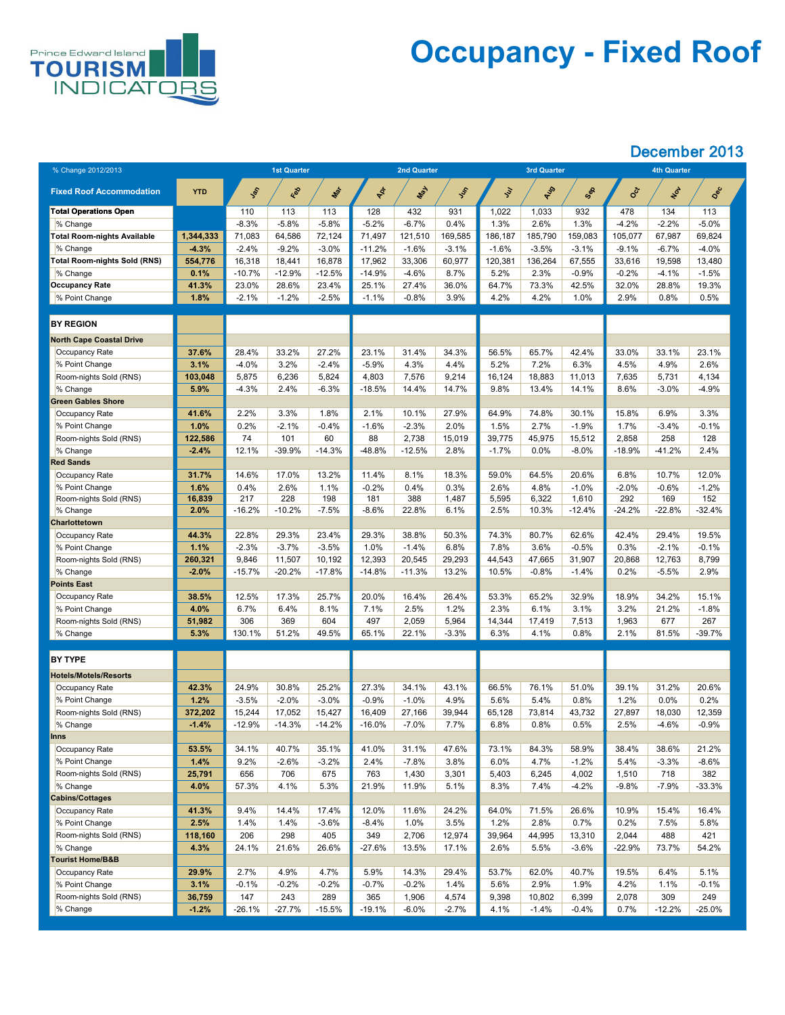

## **Occupancy - Fixed Roof**

| % Change 2012/2013                  |                   |                 | <b>1st Quarter</b> |                |                 | <b>2nd Quarter</b> |               |                  | <b>3rd Quarter</b> |                   | <b>4th Quarter</b> |                 |                 |  |
|-------------------------------------|-------------------|-----------------|--------------------|----------------|-----------------|--------------------|---------------|------------------|--------------------|-------------------|--------------------|-----------------|-----------------|--|
|                                     |                   |                 |                    |                |                 |                    |               |                  |                    |                   |                    |                 |                 |  |
| <b>Fixed Roof Accommodation</b>     | <b>YTD</b>        | <b>SOL</b>      | Red                | Max            | PR              | May                | Ist           | $\overline{y}$   | AUS                | Sep               | <b>SOCT</b>        | NOT             | Dec             |  |
| <b>Total Operations Open</b>        |                   | 110             | 113                | 113            | 128             | 432                | 931           | 1,022            | 1,033              | 932               | 478                | 134             | 113             |  |
| % Change                            |                   | $-8.3%$         | $-5.8%$            | $-5.8%$        | $-5.2%$         | $-6.7%$            | 0.4%          | $1.3\%$          | 2.6%               | 1.3%              | -4.2%              | $-2.2%$         | $-5.0%$         |  |
| <b>Total Room-nights Available</b>  | 1,344,333         | 71,083          | 64,586             | 72,124         | 71,497          | 121,510            | 169,585       | 186,187          | 185,790            | 159,083           | 105,077            | 67,987          | 69,824          |  |
| % Change                            | $-4.3%$           | $-2.4\%$        | $-9.2%$            | $-3.0\%$       | $-11.2%$        | $-1.6%$            | $-3.1%$       | $-1.6%$          | $-3.5%$            | $-3.1%$           | $-9.1%$            | $-6.7\%$        | $-4.0%$         |  |
| <b>Total Room-nights Sold (RNS)</b> | 554,776           | 16,318          | 18,441             | 16,878         | 17,962          | 33,306             | 60,977        | 120,381          | 136,264            | 67,555            | 33,616             | 19,598          | 13,480          |  |
| % Change                            | 0.1%              | $-10.7%$        | $-12.9\%$          | $-12.5%$       | $-14.9%$        | $-4.6%$            | 8.7%          | 5.2%             | 2.3%               | $-0.9\%$          | $-0.2%$            | $-4.1%$         | $-1.5%$         |  |
| <b>Occupancy Rate</b>               | 41.3%             | 23.0%           | 28.6%              | 23.4%          | 25.1%           | 27.4%              | 36.0%         | 64.7%            | 73.3%              | 42.5%             | 32.0%              | 28.8%           | 19.3%           |  |
| % Point Change                      | 1.8%              | $-2.1%$         | $-1.2%$            | $-2.5%$        | $-1.1%$         | $-0.8%$            | 3.9%          | 4.2%             | 4.2%               | 1.0%              | 2.9%               | 0.8%            | 0.5%            |  |
| <b>BY REGION</b>                    |                   |                 |                    |                |                 |                    |               |                  |                    |                   |                    |                 |                 |  |
| <b>North Cape Coastal Drive</b>     |                   |                 |                    |                |                 |                    |               |                  |                    |                   |                    |                 |                 |  |
| <b>Occupancy Rate</b>               | 37.6%             | 28.4%           | 33.2%              | 27.2%          | 23.1%           | 31.4%              | 34.3%         | 56.5%            | 65.7%              | 42.4%             | 33.0%              | 33.1%           | 23.1%           |  |
| % Point Change                      | 3.1%              | $-4.0%$         | 3.2%               | $-2.4%$        | $-5.9%$         | 4.3%               | 4.4%          | 5.2%             | 7.2%               | 6.3%              | 4.5%               | 4.9%            | 2.6%            |  |
| Room-nights Sold (RNS)              | 103,048           | 5,875           | 6,236              | 5,824          | 4,803           | 7,576              | 9,214         | 16,124           | 18,883             | 11,013            | 7,635              | 5,731           | 4,134           |  |
| % Change                            | 5.9%              | $-4.3\%$        | 2.4%               | $-6.3%$        | $-18.5%$        | 14.4%              | 14.7%         | 9.8%             | 13.4%              | 14.1%             | 8.6%               | $-3.0%$         | $-4.9%$         |  |
| <b>Green Gables Shore</b>           |                   |                 |                    |                |                 |                    |               |                  |                    |                   |                    |                 |                 |  |
| <b>Occupancy Rate</b>               | 41.6%             | 2.2%            | 3.3%               | 1.8%           | 2.1%            | 10.1%              | 27.9%         | 64.9%            | 74.8%              | 30.1%             | 15.8%              | 6.9%            | 3.3%            |  |
| % Point Change                      | 1.0%              | 0.2%            | $-2.1%$            | $-0.4%$        | $-1.6%$         | $-2.3%$            | 2.0%          | $1.5\%$          | 2.7%               | $-1.9%$           | 1.7%               | $-3.4%$         | $-0.1%$         |  |
| Room-nights Sold (RNS)              | 122,586           | 74              | 101                | 60             | 88              | 2,738              | 15,019        | 39,775           | 45,975             | 15,512            | 2,858              | 258             | 128             |  |
| % Change                            | $-2.4%$           | 12.1%           | $-39.9%$           | $-14.3%$       | $-48.8%$        | $-12.5%$           | 2.8%          | $-1.7%$          | $0.0\%$            | $-8.0\%$          | $-18.9%$           | $-41.2%$        | 2.4%            |  |
| <b>Red Sands</b>                    |                   |                 |                    |                |                 |                    |               |                  |                    |                   |                    |                 |                 |  |
| Occupancy Rate                      | 31.7%             | 14.6%           | 17.0%              | 13.2%          | 11.4%           | 8.1%               | 18.3%         | 59.0%            | 64.5%              | 20.6%             | 6.8%               | 10.7%           | 12.0%           |  |
| % Point Change                      | 1.6%              | 0.4%            | 2.6%               | 1.1%           | $-0.2%$         | 0.4%               | 0.3%          | $2.6\%$          | 4.8%               | $-1.0%$           | $-2.0\%$           | $-0.6%$         | $-1.2%$         |  |
| Room-nights Sold (RNS)<br>% Change  | 16,839<br>$2.0\%$ | 217<br>$-16.2%$ | 228<br>$-10.2%$    | 198<br>$-7.5%$ | 181<br>$-8.6\%$ | 388<br>22.8%       | 1,487<br>6.1% | 5,595<br>$2.5\%$ | 6,322<br>10.3%     | 1,610<br>$-12.4%$ | 292<br>$-24.2\%$   | 169<br>$-22.8%$ | 152<br>$-32.4%$ |  |
| <b>Charlottetown</b>                |                   |                 |                    |                |                 |                    |               |                  |                    |                   |                    |                 |                 |  |
| <b>Occupancy Rate</b>               | 44.3%             | 22.8%           | 29.3%              | 23.4%          | 29.3%           | 38.8%              | 50.3%         | 74.3%            | 80.7%              | 62.6%             | 42.4%              | 29.4%           | 19.5%           |  |
| % Point Change                      | 1.1%              | $-2.3%$         | $-3.7%$            | $-3.5%$        | 1.0%            | $-1.4%$            | 6.8%          | 7.8%             | 3.6%               | $-0.5%$           | 0.3%               | $-2.1%$         | $-0.1%$         |  |
| Room-nights Sold (RNS)              | 260,321           | 9,846           | 11,507             | 10,192         | 12,393          | 20,545             | 29,293        | 44,543           | 47,665             | 31,907            | 20,868             | 12,763          | 8,799           |  |
| % Change                            | $-2.0%$           | $-15.7%$        | $-20.2%$           | $-17.8%$       | $-14.8%$        | $-11.3%$           | 13.2%         | 10.5%            | $-0.8%$            | $-1.4%$           | 0.2%               | $-5.5%$         | 2.9%            |  |
| <b>Points East</b>                  |                   |                 |                    |                |                 |                    |               |                  |                    |                   |                    |                 |                 |  |
| <b>Occupancy Rate</b>               | 38.5%             | 12.5%           | 17.3%              | 25.7%          | 20.0%           | 16.4%              | 26.4%         | 53.3%            | 65.2%              | 32.9%             | 18.9%              | 34.2%           | 15.1%           |  |
| % Point Change                      | $4.0\%$           | 6.7%            | 6.4%               | 8.1%           | 7.1%            | 2.5%               | 1.2%          | 2.3%             | 6.1%               | 3.1%              | 3.2%               | 21.2%           | $-1.8%$         |  |
| Room-nights Sold (RNS)              | 51,982            | 306             | 369                | 604            | 497             | 2,059              | 5,964         | 14,344           | 17,419             | 7,513             | ,963               | 677             | 267             |  |
| $\%$ Change                         | 5.3%              | 130.1%          | 51.2%              | 49.5%          | 65.1%           | 22.1%              | $-3.3%$       | 6.3%             | 4.1%               | 0.8%              | 2.1%               | 81.5%           | $-39.7%$        |  |
| <b>BY TYPE</b>                      |                   |                 |                    |                |                 |                    |               |                  |                    |                   |                    |                 |                 |  |
| <b>Hotels/Motels/Resorts</b>        |                   |                 |                    |                |                 |                    |               |                  |                    |                   |                    |                 |                 |  |
|                                     | 42.3%             | 24.9%           | 30.8%              | 25.2%          | 27.3%           | 34.1%              | 43.1%         | 66.5%            | 76.1%              | 51.0%             | 39.1%              | 31.2%           | 20.6%           |  |
| Occupancy Rate<br>% Point Change    | 1.2%              | $-3.5%$         | $-2.0%$            | $-3.0\%$       | $-0.9%$         |                    | 4.9%          |                  |                    | 0.8%              | 1.2%               | 0.0%            | 0.2%            |  |
| Room-nights Sold (RNS)              | 372,202           | 15,244          | 17,052             | 15,427         | 16,409          | $-1.0%$<br>27,166  | 39,944        | 5.6%<br>65,128   | 5.4%<br>73,814     | 43,732            | 27,897             | 18,030          | 12,359          |  |
| % Change                            | $-1.4%$           | $-12.9%$        | $-14.3%$           | $-14.2%$       | $-16.0\%$       | $-7.0\%$           | 7.7%          | 6.8%             | 0.8%               | 0.5%              | 2.5%               | $-4.6%$         | $-0.9%$         |  |
| <b>Inns</b>                         |                   |                 |                    |                |                 |                    |               |                  |                    |                   |                    |                 |                 |  |
| Occupancy Rate                      | 53.5%             | 34.1%           | 40.7%              | 35.1%          | 41.0%           | 31.1%              | 47.6%         | 73.1%            | 84.3%              | 58.9%             | 38.4%              | 38.6%           | 21.2%           |  |
| % Point Change                      | 1.4%              | 9.2%            | $-2.6%$            | $-3.2\%$       | 2.4%            | $-7.8%$            | 3.8%          | $6.0\%$          | 4.7%               | $-1.2%$           | 5.4%               | $-3.3%$         | $-8.6\%$        |  |
| Room-nights Sold (RNS)              | 25,791            | 656             | 706                | 675            | 763             | 1,430              | 3,301         | 5,403            | 6,245              | 4,002             | 1,510              | 718             | 382             |  |
| % Change                            | $4.0\%$           | 57.3%           | 4.1%               | 5.3%           | 21.9%           | 11.9%              | 5.1%          | 8.3%             | 7.4%               | $-4.2%$           | $-9.8\%$           | $-7.9\%$        | $-33.3%$        |  |
| <b>Cabins/Cottages</b>              |                   |                 |                    |                |                 |                    |               |                  |                    |                   |                    |                 |                 |  |
| <b>Occupancy Rate</b>               | 41.3%             | 9.4%            | 14.4%              | 17.4%          | 12.0%           | 11.6%              | 24.2%         | 64.0%            | 71.5%              | 26.6%             | 10.9%              | 15.4%           | 16.4%           |  |
| % Point Change                      | 2.5%              | 1.4%            | 1.4%               | $-3.6\%$       | $-8.4\%$        | 1.0%               | 3.5%          | $1.2\%$          | 2.8%               | 0.7%              | 0.2%               | 7.5%            | 5.8%            |  |
| Room-nights Sold (RNS)              | 118,160           | 206             | 298                | 405            | 349             | 2,706              | 12,974        | 39,964           | 44,995             | 13,310            | 2,044              | 488             | 421             |  |
| % Change                            | 4.3%              | 24.1%           | 21.6%              | 26.6%          | $-27.6%$        | 13.5%              | 17.1%         | 2.6%             | 5.5%               | $-3.6%$           | -22.9%             | 73.7%           | 54.2%           |  |
| <b>Tourist Home/B&amp;B</b>         |                   |                 |                    |                |                 |                    |               |                  |                    |                   |                    |                 |                 |  |
| <b>Occupancy Rate</b>               | 29.9%             | 2.7%            | 4.9%               | 4.7%           | 5.9%            | 14.3%              | 29.4%         | 53.7%            | 62.0%              | 40.7%             | 19.5%              | 6.4%            | 5.1%            |  |
| % Point Change                      | 3.1%              | $-0.1%$         | $-0.2\%$           | $-0.2%$        | $-0.7%$         | $-0.2%$            | 1.4%          | 5.6%             | 2.9%               | 1.9%              | 4.2%               | 1.1%            | $-0.1%$         |  |
| Room-nights Sold (RNS)              | 36,759            | 147             | 243                | 289            | 365             | 1,906              | 4,574         | 9,398            | 10,802             | 6,399             | 2,078              | 309             | 249             |  |
| $\%$ Change                         | $-1.2%$           | $-26.1%$        | $-27.7%$           | $-15.5%$       | $-19.1%$        | $-6.0\%$           | $-2.7%$       | 4.1%             | $-1.4%$            | $-0.4%$           | 0.7%               | $-12.2%$        | $-25.0\%$       |  |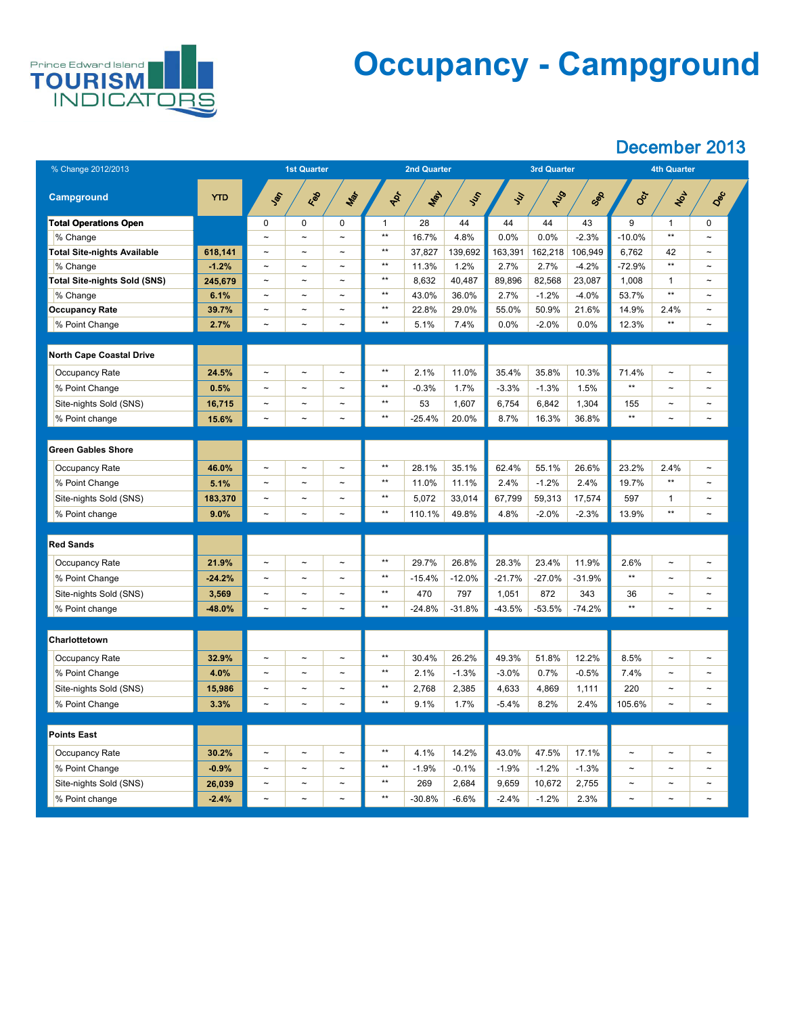

## **Occupancy - Campground**

| % Change 2012/2013                 |            | <b>1st Quarter</b>    |                       |                       |       | <b>2nd Quarter</b> |               |               | <b>3rd Quarter</b> |          | <b>4th Quarter</b>    |                       |                       |  |
|------------------------------------|------------|-----------------------|-----------------------|-----------------------|-------|--------------------|---------------|---------------|--------------------|----------|-----------------------|-----------------------|-----------------------|--|
| <b>Campground</b>                  | <b>YTD</b> | SOF                   | Red                   | Mar                   | ADT   | <b>LIBY</b>        | $\mathcal{S}$ | $\mathcal{S}$ | RUS                | Sep      | Oct                   | NOL                   | Dec                   |  |
| <b>Total Operations Open</b>       |            | $\overline{0}$        | $\overline{0}$        | $\overline{0}$        | 1     | 28                 | 44            | 44            | 44                 | 43       | 9                     |                       | $\overline{0}$        |  |
| % Change                           |            | $\tilde{\phantom{a}}$ | $\tilde{\phantom{m}}$ | $\sim$                | $***$ | 16.7%              | 4.8%          | 0.0%          | 0.0%               | $-2.3%$  | $-10.0\%$             | $***$                 | $\sim$                |  |
| <b>Total Site-nights Available</b> | 618,141    | $\tilde{\phantom{a}}$ | $\sim$                | $\sim$                | $***$ | 37,827             | 139,692       | 163,391       | 162,218            | 106,949  | 6,762                 | 42                    | $\sim$                |  |
| % Change                           | $-1.2%$    | $\tilde{\phantom{a}}$ | $\sim$                | $\sim$                | $***$ | 11.3%              | 1.2%          | 2.7%          | 2.7%               | $-4.2%$  | $-72.9%$              | $***$                 | $\tilde{\phantom{a}}$ |  |
| Total Site-nights Sold (SNS)       | 245,679    | $\tilde{\phantom{a}}$ | $\sim$                | $\tilde{\phantom{a}}$ | $***$ | 8,632              | 40,487        | 89,896        | 82,568             | 23,087   | 1,008                 | $\mathbf{1}$          | $\sim$                |  |
| % Change                           | 6.1%       | $\tilde{\phantom{a}}$ | $\sim$                | $\tilde{\phantom{m}}$ | $***$ | 43.0%              | 36.0%         | 2.7%          | $-1.2%$            | $-4.0\%$ | 53.7%                 | $***$                 | $\sim$                |  |
| <b>Occupancy Rate</b>              | 39.7%      | $\sim$                | $\sim$                | $\sim$                | $***$ | 22.8%              | 29.0%         | 55.0%         | 50.9%              | 21.6%    | 14.9%                 | 2.4%                  | $\sim$                |  |
| % Point Change                     | 2.7%       | $\tilde{\phantom{a}}$ | $\sim$                | $\sim$                | $***$ | 5.1%               | 7.4%          | 0.0%          | $-2.0\%$           | $0.0\%$  | 12.3%                 | $***$                 | $\tilde{\phantom{a}}$ |  |
|                                    |            |                       |                       |                       |       |                    |               |               |                    |          |                       |                       |                       |  |
| <b>North Cape Coastal Drive</b>    |            |                       |                       |                       |       |                    |               |               |                    |          |                       |                       |                       |  |
| <b>Occupancy Rate</b>              | 24.5%      | $\tilde{\phantom{a}}$ | $\sim$                | $\tilde{\phantom{m}}$ | $***$ | 2.1%               | 11.0%         | 35.4%         | 35.8%              | 10.3%    | 71.4%                 | $\tilde{\phantom{m}}$ | $\tilde{\phantom{m}}$ |  |
| % Point Change                     | 0.5%       | $\tilde{\phantom{a}}$ | $\sim$                | $\tilde{\phantom{m}}$ | $***$ | $-0.3%$            | 1.7%          | $-3.3%$       | $-1.3%$            | 1.5%     | $***$                 | $\tilde{\phantom{m}}$ | $\sim$                |  |
| Site-nights Sold (SNS)             | 16,715     | $\tilde{\phantom{a}}$ | $\tilde{\phantom{a}}$ | $\tilde{\phantom{m}}$ | $***$ | 53                 | 1,607         | 6,754         | 6,842              | 1,304    | 155                   | $\tilde{}$            | $\tilde{\phantom{a}}$ |  |
| % Point change                     | 15.6%      | $\tilde{\phantom{a}}$ | $\tilde{}$            | $\sim$                | $***$ | $-25.4%$           | 20.0%         | 8.7%          | 16.3%              | 36.8%    | $***$                 | $\tilde{\phantom{a}}$ | $\tilde{\phantom{a}}$ |  |
|                                    |            |                       |                       |                       |       |                    |               |               |                    |          |                       |                       |                       |  |
| <b>Green Gables Shore</b>          |            |                       |                       |                       |       |                    |               |               |                    |          |                       |                       |                       |  |
| <b>Occupancy Rate</b>              | 46.0%      | $\tilde{}$            | $\tilde{\phantom{m}}$ | $\tilde{\phantom{a}}$ | $***$ | 28.1%              | 35.1%         | 62.4%         | 55.1%              | 26.6%    | 23.2%                 | 2.4%                  | $\tilde{\phantom{a}}$ |  |
| % Point Change                     | 5.1%       | $\tilde{\phantom{a}}$ | $\sim$                | $\sim$                | $***$ | 11.0%              | 11.1%         | 2.4%          | $-1.2%$            | 2.4%     | 19.7%                 | $***$                 | $\sim$                |  |
| Site-nights Sold (SNS)             | 183,370    | $\tilde{\phantom{a}}$ | $\sim$                | $\tilde{\phantom{m}}$ | $***$ | 5,072              | 33,014        | 67,799        | 59,313             | 17,574   | 597                   | $\mathbf 1$           | $\tilde{\phantom{m}}$ |  |
| % Point change                     | 9.0%       | $\tilde{\phantom{a}}$ | $\sim$                | $\sim$                | $***$ | 110.1%             | 49.8%         | 4.8%          | $-2.0\%$           | $-2.3%$  | 13.9%                 | $***$                 | $\thicksim$           |  |
|                                    |            |                       |                       |                       |       |                    |               |               |                    |          |                       |                       |                       |  |
| <b>Red Sands</b>                   |            |                       |                       |                       |       |                    |               |               |                    |          |                       |                       |                       |  |
| <b>Occupancy Rate</b>              | 21.9%      | $\tilde{\phantom{a}}$ | $\tilde{\phantom{a}}$ | $\tilde{\phantom{a}}$ | $***$ | 29.7%              | 26.8%         | 28.3%         | 23.4%              | 11.9%    | 2.6%                  | $\thicksim$           | $\tilde{\phantom{m}}$ |  |
| % Point Change                     | $-24.2%$   | $\tilde{\phantom{a}}$ | $\sim$                | $\tilde{\phantom{a}}$ | $***$ | $-15.4%$           | $-12.0%$      | $-21.7%$      | $-27.0%$           | $-31.9%$ | $***$                 | $\tilde{\phantom{a}}$ | $\sim$                |  |
| Site-nights Sold (SNS)             | 3,569      | $\tilde{\phantom{a}}$ | $\sim$                | $\sim$                | $***$ | 470                | 797           | 1,051         | 872                | 343      | 36                    | $\thicksim$           | $\tilde{\phantom{m}}$ |  |
| % Point change                     | $-48.0%$   | $\tilde{\phantom{a}}$ | $\sim$                | $\thicksim$           | $***$ | $-24.8%$           | $-31.8%$      | $-43.5%$      | $-53.5%$           | $-74.2%$ | $***$                 | $\tilde{\phantom{a}}$ | $\thicksim$           |  |
|                                    |            |                       |                       |                       |       |                    |               |               |                    |          |                       |                       |                       |  |
| <b>Charlottetown</b>               |            |                       |                       |                       |       |                    |               |               |                    |          |                       |                       |                       |  |
| <b>Occupancy Rate</b>              | 32.9%      | $\tilde{\phantom{a}}$ | $\tilde{\phantom{m}}$ | $\sim$                | $***$ | 30.4%              | 26.2%         | 49.3%         | 51.8%              | 12.2%    | 8.5%                  | $\thicksim$           | $\tilde{\phantom{a}}$ |  |
| % Point Change                     | 4.0%       | $\sim$                | $\sim$                | $\tilde{\phantom{m}}$ | $***$ | 2.1%               | $-1.3%$       | $-3.0%$       | 0.7%               | $-0.5%$  | 7.4%                  | $\tilde{\phantom{a}}$ | $\sim$                |  |
| Site-nights Sold (SNS)             | 15,986     | $\tilde{\phantom{a}}$ | $\sim$                | $\sim$                | $***$ | 2,768              | 2,385         | 4,633         | 4,869              | 1,111    | 220                   | $\tilde{\phantom{a}}$ | $\sim$                |  |
| % Point Change                     | 3.3%       | $\thicksim$           | $\sim$                | $\sim$                | $***$ | 9.1%               | 1.7%          | $-5.4\%$      | 8.2%               | 2.4%     | 105.6%                | $\thicksim$           | $\tilde{}$            |  |
|                                    |            |                       |                       |                       |       |                    |               |               |                    |          |                       |                       |                       |  |
| <b>Points East</b>                 |            |                       |                       |                       |       |                    |               |               |                    |          |                       |                       |                       |  |
| <b>Occupancy Rate</b>              | 30.2%      | $\tilde{\phantom{a}}$ | $\sim$                | $\sim$                | $***$ | 4.1%               | 14.2%         | 43.0%         | 47.5%              | 17.1%    | $\tilde{\phantom{a}}$ | $\thicksim$           | $\tilde{\phantom{a}}$ |  |
| % Point Change                     | $-0.9%$    |                       |                       |                       | $***$ | $-1.9%$            | $-0.1%$       | $-1.9%$       | $-1.2%$            | $-1.3%$  |                       |                       |                       |  |
| Site-nights Sold (SNS)             | 26,039     | $\sim$                | $\sim$                | $\sim$                | $***$ | 269                | 2,684         | 9,659         | 10,672             | 2,755    | $\sim$                | $\tilde{\phantom{a}}$ | $\sim$                |  |
| % Point change                     | $-2.4%$    | $\sim$                | $\sim$                | $\sim$                | $***$ | $-30.8%$           | $-6.6\%$      | $-2.4%$       | $-1.2\%$           | 2.3%     | $\sim$                | $\tilde{\phantom{a}}$ | $\sim$                |  |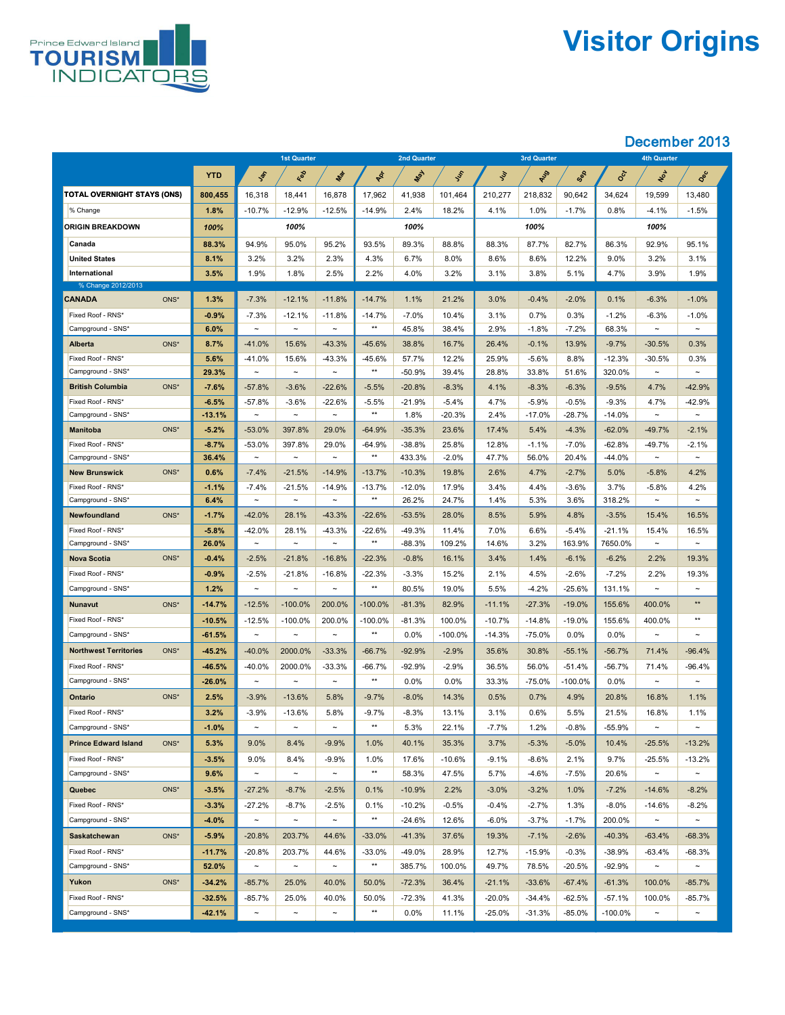

# **Visitor Origins**

|                                        |               | <b>1st Quarter</b>      |                       | <b>2nd Quarter</b>    |                     |                   |                | 3rd Quarter    |                  | <b>4th Quarter</b> |                    |                    |                                |
|----------------------------------------|---------------|-------------------------|-----------------------|-----------------------|---------------------|-------------------|----------------|----------------|------------------|--------------------|--------------------|--------------------|--------------------------------|
|                                        | <b>YTD</b>    | Jan                     | Red                   | Max                   | RICH                | Nay               | Just           | $\mathcal{S}$  | AUS              | Sep                | <b>Oct</b>         | NOL                | Dec                            |
| <b>TOTAL OVERNIGHT STAYS (ONS)</b>     | 800,455       | 16,318                  | 18,441                | 16,878                | 17,962              | 41,938            | 101,464        | 210,277        | 218,832          | 90,642             | 34,624             | 19,599             | 13,480                         |
| % Change                               | 1.8%          | $-10.7%$                | $-12.9%$              | $-12.5%$              | $-14.9%$            | 2.4%              | 18.2%          | 4.1%           | 1.0%             | $-1.7%$            | 0.8%               | $-4.1%$            | $-1.5%$                        |
| <b>ORIGIN BREAKDOWN</b>                | 100%          |                         | 100%                  |                       |                     | 100%              |                |                | 100%             |                    |                    | 100%               |                                |
| Canada                                 | 88.3%         | 94.9%                   | 95.0%                 | 95.2%                 | 93.5%               | 89.3%             | 88.8%          | 88.3%          | 87.7%            | 82.7%              | 86.3%              | 92.9%              | 95.1%                          |
| <b>United States</b>                   | 8.1%          | 3.2%                    | 3.2%                  | 2.3%                  | 4.3%                | 6.7%              | 8.0%           | 8.6%           | 8.6%             | 12.2%              | $9.0\%$            | 3.2%               | 3.1%                           |
| International                          | 3.5%          | 1.9%                    | 1.8%                  | 2.5%                  | 2.2%                | 4.0%              | 3.2%           | 3.1%           | 3.8%             | 5.1%               | 4.7%               | 3.9%               | 1.9%                           |
| % Change 2012/2013                     |               |                         |                       |                       |                     |                   |                |                |                  |                    |                    |                    |                                |
| ONS*<br><b>CANADA</b>                  | 1.3%          | $-7.3%$                 | $-12.1%$              | $-11.8%$              | $-14.7%$            | 1.1%              | 21.2%          | 3.0%           | $-0.4%$          | $-2.0%$            | 0.1%               | $-6.3%$            | $-1.0%$                        |
| Fixed Roof - RNS*                      | $-0.9%$       | $-7.3%$                 | $-12.1%$              | $-11.8%$              | $-14.7%$<br>$***$   | $-7.0\%$          | 10.4%          | 3.1%           | 0.7%             | 0.3%               | $-1.2%$            | $-6.3%$            | $-1.0%$                        |
| Campground - SNS*                      | 6.0%          | $\thicksim$             | $\thicksim$           | $\sim$                |                     | 45.8%             | 38.4%          | 2.9%           | $-1.8%$          | $-7.2%$            | 68.3%              | $\sim$             | $\tilde{\phantom{m}}$          |
| ONS*<br><b>Alberta</b>                 | 8.7%          | $-41.0%$                | 15.6%                 | $-43.3%$              | $-45.6%$            | 38.8%             | 16.7%          | 26.4%          | $-0.1%$          | 13.9%              | $-9.7%$            | $-30.5%$           | 0.3%                           |
| Fixed Roof - RNS*<br>Campground - SNS* | 5.6%<br>29.3% | $-41.0%$<br>$\thicksim$ | 15.6%<br>$\sim$       | $-43.3%$<br>$\sim$    | $-45.6%$<br>$***$   | 57.7%<br>$-50.9%$ | 12.2%<br>39.4% | 25.9%<br>28.8% | $-5.6%$<br>33.8% | 8.8%<br>51.6%      | $-12.3%$<br>320.0% | $-30.5%$<br>$\sim$ | 0.3%<br>$\tilde{\phantom{m}}$  |
| ONS*<br><b>British Columbia</b>        | $-7.6%$       | $-57.8%$                | $-3.6%$               | $-22.6%$              | $-5.5%$             | $-20.8%$          | $-8.3%$        | 4.1%           | $-8.3%$          | $-6.3%$            | $-9.5%$            | 4.7%               | $-42.9%$                       |
| Fixed Roof - RNS*                      | $-6.5%$       | $-57.8%$                | $-3.6%$               | $-22.6%$              | $-5.5%$             | $-21.9%$          | $-5.4%$        | 4.7%           | $-5.9%$          | $-0.5%$            | $-9.3%$            | 4.7%               | $-42.9%$                       |
| Campground - SNS*                      | $-13.1%$      | $\thicksim$             | $\thicksim$           | $\sim$                | $***$               | 1.8%              | $-20.3%$       | 2.4%           | $-17.0%$         | $-28.7\%$          | $-14.0\%$          | $\sim$             | $\thicksim$                    |
| ONS*<br><b>Manitoba</b>                | $-5.2%$       | $-53.0%$                | 397.8%                | 29.0%                 | $-64.9%$            | $-35.3%$          | 23.6%          | 17.4%          | 5.4%             | $-4.3%$            | $-62.0%$           | $-49.7%$           | $-2.1%$                        |
| Fixed Roof - RNS*                      | $-8.7%$       | $-53.0\%$               | 397.8%                | 29.0%                 | $-64.9%$            | $-38.8%$          | 25.8%          | 12.8%          | $-1.1%$          | $-7.0\%$           | $-62.8%$           | $-49.7%$           | $-2.1%$                        |
| Campground - SNS*                      | 36.4%         | $\thicksim$             | $\thicksim$           | $\sim$                | $***$               | 433.3%            | $-2.0\%$       | 47.7%          | 56.0%            | 20.4%              | $-44.0\%$          | $\thicksim$        | $\thicksim$                    |
| ONS*<br><b>New Brunswick</b>           | 0.6%          | $-7.4%$                 | $-21.5%$              | $-14.9%$              | $-13.7%$            | $-10.3%$          | 19.8%          | 2.6%           | 4.7%             | $-2.7%$            | 5.0%               | $-5.8%$            | 4.2%                           |
| Fixed Roof - RNS*                      | $-1.1%$       | $-7.4%$                 | $-21.5%$              | $-14.9%$              | $-13.7%$            | $-12.0%$          | 17.9%          | 3.4%           | 4.4%             | $-3.6%$            | 3.7%               | $-5.8%$            | 4.2%                           |
| Campground - SNS*                      | 6.4%          | $\thicksim$             | $\thicksim$           | $\sim$                | $***$               | 26.2%             | 24.7%          | 1.4%           | 5.3%             | 3.6%               | 318.2%             | $\sim$             | $\thicksim$                    |
| ONS*<br><b>Newfoundland</b>            | $-1.7%$       | $-42.0%$                | 28.1%                 | $-43.3%$              | $-22.6%$            | $-53.5%$          | 28.0%          | 8.5%           | 5.9%             | 4.8%               | $-3.5%$            | 15.4%              | 16.5%                          |
| Fixed Roof - RNS*                      | $-5.8%$       | $-42.0%$                | 28.1%                 | $-43.3%$              | $-22.6%$<br>$***$   | $-49.3%$          | 11.4%          | 7.0%           | 6.6%             | $-5.4%$            | $-21.1%$           | 15.4%              | 16.5%                          |
| Campground - SNS*                      | 26.0%         | $\thicksim$             | $\thicksim$           | $\sim$                |                     | $-88.3%$          | 109.2%         | 14.6%          | 3.2%             | 163.9%             | 7650.0%            | $\sim$             | $\thicksim$                    |
| ONS*<br><b>Nova Scotia</b>             | $-0.4%$       | $-2.5%$                 | $-21.8%$              | $-16.8%$              | $-22.3%$            | $-0.8%$           | 16.1%          | 3.4%           | 1.4%             | $-6.1%$            | $-6.2%$            | 2.2%               | 19.3%                          |
| Fixed Roof - RNS*                      | $-0.9%$       | $-2.5%$                 | $-21.8%$              | $-16.8%$              | $-22.3%$<br>$***$   | $-3.3%$           | 15.2%          | 2.1%           | 4.5%             | $-2.6%$            | $-7.2\%$           | 2.2%               | 19.3%                          |
| Campground - SNS*                      | 1.2%          | $\sim$                  | $\tilde{\phantom{m}}$ | $\sim$                |                     | 80.5%             | 19.0%          | 5.5%           | $-4.2%$          | $-25.6%$           | 131.1%             | $\sim$             | $\tilde{\phantom{m}}$<br>$***$ |
| ONS*<br><b>Nunavut</b>                 | $-14.7%$      | $-12.5%$                | $-100.0\%$            | 200.0%                | $-100.0\%$          | $-81.3%$          | 82.9%          | $-11.1%$       | $-27.3%$         | $-19.0\%$          | 155.6%             | 400.0%             | $***$                          |
| Fixed Roof - RNS*                      | $-10.5%$      | $-12.5%$                | $-100.0\%$            | 200.0%                | $-100.0\%$<br>$***$ | $-81.3%$          | 100.0%         | $-10.7%$       | $-14.8%$         | $-19.0\%$          | 155.6%             | 400.0%             |                                |
| Campground - SNS*                      | $-61.5%$      | $\thicksim$             | $\sim$                | $\sim$                |                     | 0.0%              | $-100.0\%$     | $-14.3%$       | $-75.0\%$        | 0.0%               | $0.0\%$            | $\sim$             | $\tilde{\phantom{a}}$          |
| ONS*<br><b>Northwest Territories</b>   | $-45.2%$      | $-40.0\%$               | 2000.0%               | $-33.3%$              | $-66.7%$            | $-92.9%$          | $-2.9%$        | 35.6%          | 30.8%            | $-55.1%$           | $-56.7%$           | 71.4%              | $-96.4%$                       |
| Fixed Roof - RNS*                      | $-46.5%$      | $-40.0\%$               | 2000.0%               | $-33.3%$              | $-66.7%$<br>$***$   | $-92.9%$          | $-2.9%$        | 36.5%          | 56.0%            | $-51.4%$           | $-56.7%$           | 71.4%              | $-96.4%$                       |
| Campground - SNS*                      | $-26.0%$      | $\sim$                  | $\thicksim$           | $\sim$                |                     | 0.0%              | $0.0\%$        | 33.3%          | $-75.0%$         | $-100.0\%$         | $0.0\%$            | $\sim$             | $\thicksim$                    |
| ONS*<br><b>Ontario</b>                 | 2.5%          | $-3.9%$                 | $-13.6%$              | 5.8%                  | $-9.7%$             | $-8.0\%$          | 14.3%          | 0.5%           | 0.7%             | 4.9%               | 20.8%              | 16.8%              | 1.1%                           |
| Fixed Roof - RNS*                      | 3.2%          | $-3.9\%$                | $-13.6%$              | 5.8%                  | $-9.7%$<br>$***$    | $-8.3%$           | 13.1%          | 3.1%           | 0.6%             | 5.5%               | 21.5%              | 16.8%              | 1.1%                           |
| Campground - SNS*                      | $-1.0%$       | $\thicksim$             | $\tilde{\phantom{m}}$ | $\sim$                |                     | 5.3%              | 22.1%          | $-7.7\%$       | 1.2%             | $-0.8%$            | $-55.9%$           | $\sim$             | $\thicksim$                    |
| ONS*<br><b>Prince Edward Island</b>    | 5.3%          | 9.0%                    | 8.4%                  | $-9.9%$               | 1.0%                | 40.1%             | 35.3%          | 3.7%           | $-5.3%$          | $-5.0%$            | 10.4%              | $-25.5%$           | $-13.2%$                       |
| Fixed Roof - RNS*                      | $-3.5%$       | 9.0%                    | 8.4%                  | $-9.9\%$              | 1.0%<br>$***$       | 17.6%             | $-10.6%$       | $-9.1%$        | $-8.6%$          | 2.1%               | 9.7%               | $-25.5%$           | $-13.2%$                       |
| Campground - SNS*                      | 9.6%          | $\thicksim$             | $\tilde{\phantom{m}}$ | $\sim$                |                     | 58.3%             | 47.5%          | 5.7%           | $-4.6%$          | $-7.5\%$           | 20.6%              | $\sim$             | $\sim$                         |
| ONS*<br><b>Quebec</b>                  | $-3.5%$       | $-27.2%$                | $-8.7%$               | $-2.5%$               | 0.1%                | $-10.9%$          | 2.2%           | $-3.0%$        | $-3.2%$          | 1.0%               | $-7.2%$            | $-14.6%$           | $-8.2%$                        |
| Fixed Roof - RNS*                      | $-3.3%$       | $-27.2%$                | $-8.7%$               | $-2.5%$               | 0.1%                | $-10.2%$          | $-0.5%$        | $-0.4%$        | $-2.7%$          | 1.3%               | $-8.0\%$           | $-14.6%$           | $-8.2%$                        |
| Campground - SNS*                      | $-4.0%$       | $\thicksim$             | $\thicksim$           | $\sim$                | $***$               | $-24.6%$          | 12.6%          | $-6.0\%$       | $-3.7%$          | $-1.7\%$           | 200.0%             | $\sim$             | $\sim$                         |
| ONS*<br><b>Saskatchewan</b>            | $-5.9%$       | $-20.8%$                | 203.7%                | 44.6%                 | $-33.0%$            | $-41.3%$          | 37.6%          | 19.3%          | $-7.1%$          | $-2.6%$            | $-40.3%$           | $-63.4%$           | $-68.3%$                       |
| Fixed Roof - RNS*                      | $-11.7%$      | $-20.8%$                | 203.7%                | 44.6%                 | $-33.0%$            | $-49.0%$          | 28.9%          | 12.7%          | $-15.9%$         | $-0.3%$            | $-38.9%$           | $-63.4%$           | $-68.3%$                       |
| Campground - SNS*                      | 52.0%         | $\thicksim$             | $\thicksim$           | $\sim$                | $***$               | 385.7%            | 100.0%         | 49.7%          | 78.5%            | $-20.5%$           | $-92.9%$           | $\sim$             | $\thicksim$                    |
| ONS*<br>Yukon                          | $-34.2%$      | $-85.7%$                | 25.0%                 | 40.0%                 | 50.0%               | $-72.3%$          | 36.4%          | $-21.1%$       | $-33.6%$         | $-67.4%$           | $-61.3%$           | 100.0%             | $-85.7%$                       |
| Fixed Roof - RNS*                      | $-32.5%$      | $-85.7%$                | 25.0%                 | 40.0%                 | 50.0%               | $-72.3%$          | 41.3%          | $-20.0\%$      | $-34.4%$         | $-62.5%$           | $-57.1%$           | 100.0%             | $-85.7%$                       |
| Campground - SNS*                      | $-42.1%$      | $\thicksim$             | $\thicksim$           | $\tilde{\phantom{a}}$ | $***$               | $0.0\%$           | 11.1%          | $-25.0\%$      | $-31.3%$         | $-85.0\%$          | $-100.0\%$         | $\thicksim$        | $\sim$                         |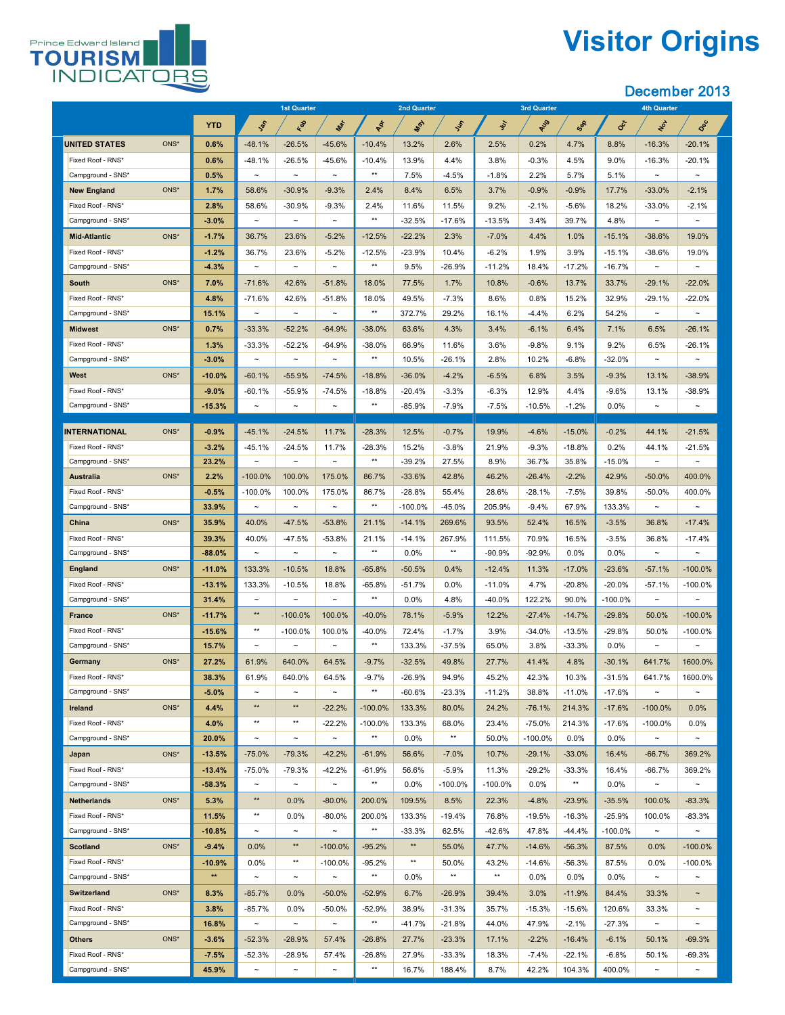

# **Visitor Origins**

|                                        |                  | <b>1st Quarter</b>    |                                   | <b>2nd Quarter</b>    |                   |                   | <b>3rd Quarter</b> |                |                  | <b>4th Quarter</b> |                   |                 |                                   |
|----------------------------------------|------------------|-----------------------|-----------------------------------|-----------------------|-------------------|-------------------|--------------------|----------------|------------------|--------------------|-------------------|-----------------|-----------------------------------|
|                                        | <b>YTD</b>       | Lay                   | Red                               | Max                   | PRI               | <b>May</b>        | Iss                | $\mathcal{S}'$ | AUS              | Sep                | Oct               | NOL             | Dec                               |
| <b>UNITED STATES</b><br>ONS*           | 0.6%             | $-48.1%$              | $-26.5%$                          | $-45.6%$              | $-10.4%$          | 13.2%             | 2.6%               | 2.5%           | 0.2%             | 4.7%               | 8.8%              | $-16.3%$        | $-20.1%$                          |
| Fixed Roof - RNS*                      | 0.6%             | $-48.1%$              | $-26.5%$                          | $-45.6%$              | $-10.4%$          | 13.9%             | 4.4%               | 3.8%           | $-0.3%$          | 4.5%               | 9.0%              | $-16.3%$        | $-20.1%$                          |
| Campground - SNS*                      | 0.5%             | $\sim$                | $\thicksim$                       | $\sim$                | $***$             | 7.5%              | $-4.5%$            | $-1.8%$        | 2.2%             | 5.7%               | 5.1%              | $\sim$          | $\thicksim$                       |
| ONS*<br><b>New England</b>             | 1.7%             | 58.6%                 | $-30.9%$                          | $-9.3%$               | 2.4%              | 8.4%              | 6.5%               | 3.7%           | $-0.9%$          | $-0.9%$            | 17.7%             | $-33.0%$        | $-2.1%$                           |
| Fixed Roof - RNS*                      | 2.8%             | 58.6%                 | $-30.9%$                          | $-9.3%$               | 2.4%              | 11.6%             | 11.5%              | 9.2%           | $-2.1%$          | $-5.6%$            | 18.2%             | $-33.0%$        | $-2.1%$                           |
| Campground - SNS*                      | $-3.0%$          | $\sim$                | $\tilde{\phantom{m}}$             | $\sim$                | $***$             | $-32.5%$          | $-17.6%$           | $-13.5%$       | 3.4%             | 39.7%              | 4.8%              | $\sim$          | $\thicksim$                       |
| ONS*<br><b>Mid-Atlantic</b>            | $-1.7%$          | 36.7%                 | 23.6%                             | $-5.2%$               | $-12.5%$          | $-22.2%$          | 2.3%               | $-7.0\%$       | 4.4%             | 1.0%               | $-15.1%$          | $-38.6%$        | 19.0%                             |
| Fixed Roof - RNS*                      | $-1.2%$          | 36.7%                 | 23.6%                             | $-5.2%$               | $-12.5%$          | $-23.9%$          | 10.4%              | $-6.2%$        | 1.9%             | 3.9%               | $-15.1%$          | $-38.6%$        | 19.0%                             |
| Campground - SNS*                      | $-4.3%$          | $\sim$                | $\tilde{\phantom{m}}$             | $\sim$                | $***$             | 9.5%              | $-26.9%$           | $-11.2%$       | 18.4%            | $-17.2%$           | $-16.7%$          | $\sim$          | $\thicksim$                       |
| ONS*<br><b>South</b>                   | 7.0%             | $-71.6%$              | 42.6%                             | $-51.8%$              | 18.0%             | 77.5%             | 1.7%               | 10.8%          | $-0.6%$          | 13.7%              | 33.7%             | $-29.1%$        | $-22.0%$                          |
| Fixed Roof - RNS*                      | 4.8%             | $-71.6%$              | 42.6%                             | $-51.8%$              | 18.0%             | 49.5%             | $-7.3%$            | 8.6%           | 0.8%             | 15.2%              | 32.9%             | $-29.1%$        | $-22.0%$                          |
| Campground - SNS*                      | 15.1%            | $\sim$                | $\tilde{\phantom{a}}$             | $\sim$                | $***$             | 372.7%            | 29.2%              | 16.1%          | $-4.4\%$         | 6.2%               | 54.2%             | $\sim$          | $\sim$                            |
| ONS*<br><b>Midwest</b>                 | 0.7%             | $-33.3%$              | $-52.2%$                          | $-64.9%$              | $-38.0%$          | 63.6%             | 4.3%               | 3.4%           | $-6.1%$          | 6.4%               | 7.1%              | 6.5%            | $-26.1%$                          |
| Fixed Roof - RNS*                      | 1.3%             | $-33.3%$              | $-52.2%$                          | $-64.9%$              | $-38.0\%$         | 66.9%             | 11.6%              | 3.6%           | $-9.8\%$         | 9.1%               | 9.2%              | 6.5%            | $-26.1%$                          |
| Campground - SNS*                      | $-3.0%$          | $\tilde{\phantom{a}}$ | $\tilde{\phantom{m}}$             | $\sim$                | $***$             | 10.5%             | $-26.1%$           | 2.8%           | 10.2%            | $-6.8%$            | $-32.0%$          | $\sim$          | $\sim$                            |
| ONS*<br><b>West</b>                    | $-10.0%$         | $-60.1%$              | $-55.9%$                          | $-74.5%$              | $-18.8%$          | $-36.0%$          | $-4.2%$            | $-6.5%$        | 6.8%             | 3.5%               | $-9.3%$           | 13.1%           | $-38.9%$                          |
| Fixed Roof - RNS*                      | $-9.0%$          | $-60.1%$              | $-55.9%$                          | $-74.5%$              | $-18.8%$          | $-20.4%$          | $-3.3%$            | $-6.3%$        | 12.9%            | 4.4%               | $-9.6%$           | 13.1%           | $-38.9%$                          |
| Campground - SNS*                      | $-15.3%$         | $\tilde{\phantom{m}}$ | $\thicksim$                       | $\sim$                | $***$             | $-85.9%$          | $-7.9\%$           | $-7.5\%$       | $-10.5%$         | $-1.2%$            | 0.0%              | $\sim$          | $\thicksim$                       |
|                                        |                  |                       |                                   |                       |                   |                   |                    |                |                  |                    |                   |                 |                                   |
| <b>INTERNATIONAL</b><br>ONS*           | $-0.9%$          | $-45.1%$              | $-24.5%$                          | 11.7%                 | $-28.3%$          | 12.5%             | $-0.7%$            | 19.9%          | $-4.6%$          | $-15.0\%$          | $-0.2%$           | 44.1%           | $-21.5%$                          |
| Fixed Roof - RNS*<br>Campground - SNS* | $-3.2%$<br>23.2% | $-45.1%$<br>$\sim$    | $-24.5%$<br>$\tilde{\phantom{m}}$ | 11.7%<br>$\sim$       | $-28.3%$<br>$***$ | 15.2%<br>$-39.2%$ | $-3.8%$<br>27.5%   | 21.9%<br>8.9%  | $-9.3%$<br>36.7% | $-18.8%$<br>35.8%  | 0.2%<br>$-15.0\%$ | 44.1%<br>$\sim$ | $-21.5%$<br>$\tilde{\phantom{m}}$ |
| ONS*<br><b>Australia</b>               | 2.2%             | $-100.0\%$            | 100.0%                            | 175.0%                | 86.7%             | $-33.6%$          | 42.8%              | 46.2%          | $-26.4%$         | $-2.2%$            | 42.9%             | $-50.0%$        | 400.0%                            |
| Fixed Roof - RNS*                      | $-0.5%$          | $-100.0\%$            | 100.0%                            | 175.0%                | 86.7%             | $-28.8%$          | 55.4%              | 28.6%          | $-28.1%$         | $-7.5%$            | 39.8%             | $-50.0%$        | 400.0%                            |
| Campground - SNS*                      | 33.9%            | $\sim$                | $\thicksim$                       | $\sim$                | $***$             | $-100.0\%$        | $-45.0%$           | 205.9%         | $-9.4%$          | 67.9%              | 133.3%            | $\sim$          | $\thicksim$                       |
| ONS*<br><b>China</b>                   | 35.9%            | 40.0%                 | $-47.5%$                          | $-53.8%$              | 21.1%             | $-14.1%$          | 269.6%             | 93.5%          | 52.4%            | 16.5%              | $-3.5%$           | 36.8%           | $-17.4%$                          |
| Fixed Roof - RNS*                      | 39.3%            | 40.0%                 | $-47.5%$                          | $-53.8%$              | 21.1%             | $-14.1%$          | 267.9%             | 111.5%         | 70.9%            | 16.5%              | $-3.5%$           | 36.8%           | $-17.4%$                          |
| Campground - SNS*                      | $-88.0%$         | $\sim$                | $\thicksim$                       | $\sim$                | $***$             | $0.0\%$           | $***$              | $-90.9%$       | $-92.9%$         | $0.0\%$            | $0.0\%$           | $\sim$          | $\thicksim$                       |
| ONS*<br><b>England</b>                 | $-11.0%$         | 133.3%                | $-10.5%$                          | 18.8%                 | $-65.8%$          | $-50.5%$          | 0.4%               | $-12.4%$       | 11.3%            | $-17.0\%$          | $-23.6%$          | $-57.1%$        | $-100.0\%$                        |
| Fixed Roof - RNS*                      | $-13.1%$         | 133.3%                | $-10.5%$                          | 18.8%                 | $-65.8\%$         | $-51.7%$          | $0.0\%$            | $-11.0%$       | 4.7%             | $-20.8%$           | $-20.0%$          | $-57.1%$        | $-100.0\%$                        |
| Campground - SNS*                      | 31.4%            | $\tilde{\phantom{m}}$ | $\tilde{\phantom{m}}$             | $\tilde{\phantom{a}}$ | $***$             | 0.0%              | 4.8%               | $-40.0\%$      | 122.2%           | 90.0%              | $-100.0\%$        |                 | $\tilde{\phantom{a}}$             |
| ONS*<br><b>France</b>                  | $-11.7%$         | $***$                 | $-100.0\%$                        | 100.0%                | $-40.0\%$         | 78.1%             | $-5.9%$            | 12.2%          | $-27.4%$         | $-14.7%$           | $-29.8%$          | 50.0%           | $-100.0\%$                        |
| Fixed Roof - RNS*                      | $-15.6%$         | $***$                 | $-100.0\%$                        | 100.0%                | $-40.0\%$         | 72.4%             | $-1.7%$            | 3.9%           | $-34.0%$         | $-13.5%$           | $-29.8%$          | 50.0%           | $-100.0\%$                        |
| Campground - SNS*                      | 15.7%            | $\sim$                | $\tilde{\phantom{m}}$             | $\sim$                | $***$             | 133.3%            | $-37.5%$           | 65.0%          | 3.8%             | $-33.3%$           | $0.0\%$           | $\sim$          | $\sim$                            |
| ONS*<br><b>Germany</b>                 | 27.2%            | 61.9%                 | 640.0%                            | 64.5%                 | $-9.7%$           | $-32.5%$          | 49.8%              | 27.7%          | 41.4%            | 4.8%               | $-30.1%$          | 641.7%          | 1600.0%                           |
| Fixed Roof - RNS*                      | 38.3%            | 61.9%                 | 640.0%                            | 64.5%                 | $-9.7%$           | $-26.9%$          | 94.9%              | 45.2%          | 42.3%            | 10.3%              | $-31.5%$          | 641.7%          | 1600.0%                           |
| Campground - SNS*                      | $-5.0%$          | $\thicksim$           | $\thicksim$                       | $\sim$                | $***$             | $-60.6%$          | $-23.3%$           | $-11.2%$       | 38.8%            | $-11.0%$           | $-17.6%$          | $\sim$          | $\sim$                            |
| ONS*<br><b>Ireland</b>                 | 4.4%             | $***$                 | $***$                             | $-22.2%$              | $-100.0\%$        | 133.3%            | 80.0%              | 24.2%          | $-76.1%$         | 214.3%             | $-17.6%$          | $-100.0\%$      | 0.0%                              |
| Fixed Roof - RNS*                      | 4.0%             | $***$                 | $***$                             | $-22.2%$              | $-100.0\%$        | 133.3%            | 68.0%              | 23.4%          | $-75.0%$         | 214.3%             | $-17.6%$          | $-100.0\%$      | 0.0%                              |
| Campground - SNS*                      | 20.0%            | $\sim$                | $\thicksim$                       | $\sim$                | $***$             | 0.0%              | $***$              | 50.0%          | $-100.0\%$       | $0.0\%$            | $0.0\%$           | $\sim$          | $\thicksim$                       |
| ONS*<br>Japan                          | $-13.5%$         | $-75.0%$              | $-79.3%$                          | $-42.2%$              | $-61.9%$          | 56.6%             | $-7.0\%$           | 10.7%          | $-29.1%$         | $-33.0%$           | 16.4%             | $-66.7%$        | 369.2%                            |
| Fixed Roof - RNS*                      | $-13.4%$         | $-75.0%$              | $-79.3%$                          | $-42.2%$              | $-61.9%$          | 56.6%             | $-5.9\%$           | 11.3%          | $-29.2%$         | $-33.3%$           | 16.4%             | $-66.7%$        | 369.2%                            |
| Campground - SNS*                      | $-58.3%$         | $\sim$                | $\tilde{\phantom{m}}$             | $\sim$                | $***$             | $0.0\%$           | $-100.0\%$         | $-100.0\%$     | $0.0\%$          | $***$              | $0.0\%$           | $\sim$          | $\sim$                            |
| ONS*<br><b>Netherlands</b>             | 5.3%             | $***$                 | 0.0%                              | $-80.0\%$             | 200.0%            | 109.5%            | 8.5%               | 22.3%          | $-4.8%$          | $-23.9%$           | $-35.5%$          | 100.0%          | $-83.3%$                          |
| Fixed Roof - RNS*                      | 11.5%            | $***$                 | 0.0%                              | $-80.0\%$             | 200.0%            | 133.3%            | $-19.4%$           | 76.8%          | $-19.5%$         | $-16.3%$           | $-25.9%$          | 100.0%          | $-83.3%$                          |
| Campground - SNS*                      | $-10.8%$         | $\sim$                | $\thicksim$                       | $\sim$                | $***$             | $-33.3%$          | 62.5%              | $-42.6%$       | 47.8%            | $-44.4%$           | $-100.0\%$        | $\sim$          | $\thicksim$                       |
| <b>Scotland</b><br>ONS*                | $-9.4%$          | 0.0%                  | $***$                             | $-100.0\%$            | $-95.2%$          | $***$             | 55.0%              | 47.7%          | $-14.6%$         | $-56.3%$           | 87.5%             | 0.0%            | $-100.0\%$                        |
| Fixed Roof - RNS*                      | $-10.9%$         | $0.0\%$               | $***$                             | $-100.0\%$            | $-95.2%$          | $***$             | 50.0%              | 43.2%          | $-14.6%$         | $-56.3%$           | 87.5%             | $0.0\%$         | $-100.0\%$                        |
| Campground - SNS*                      | $***$            | $\sim$                | $\thicksim$                       | $\sim$                | $***$             | $0.0\%$           | $***$              | $***$          | $0.0\%$          | $0.0\%$            | $0.0\%$           | $\sim$          | $\thicksim$                       |
| ONS*<br><b>Switzerland</b>             | 8.3%             | $-85.7%$              | $0.0\%$                           | $-50.0\%$             | $-52.9%$          | 6.7%              | $-26.9%$           | 39.4%          | 3.0%             | $-11.9%$           | 84.4%             | 33.3%           | $\sim$                            |
| Fixed Roof - RNS*                      | 3.8%             | $-85.7%$              | $0.0\%$                           | $-50.0\%$             | $-52.9%$          | 38.9%             | $-31.3%$           | 35.7%          | $-15.3%$         | $-15.6%$           | 120.6%            | 33.3%           | $\sim$                            |
| Campground - SNS*                      | 16.8%            | $\sim$                | $\tilde{\phantom{m}}$             | $\sim$                | $***$             | $-41.7%$          | $-21.8%$           | 44.0%          | 47.9%            | $-2.1%$            | $-27.3%$          | $\sim$          | $\thicksim$                       |
| ONS*<br><b>Others</b>                  | $-3.6%$          | $-52.3%$              | $-28.9%$                          | 57.4%                 | $-26.8%$          | 27.7%             | $-23.3%$           | 17.1%          | $-2.2%$          | $-16.4%$           | $-6.1%$           | 50.1%           | $-69.3%$                          |
| Fixed Roof - RNS*                      | $-7.5%$          | $-52.3%$              | $-28.9%$                          | 57.4%                 | $-26.8%$          | 27.9%             | $-33.3%$           | 18.3%          | $-7.4\%$         | $-22.1%$           | $-6.8\%$          | 50.1%           | $-69.3%$                          |
| Campground - SNS*                      | 45.9%            | $\sim$                | $\thicksim$                       | $\sim$                | $***$             | 16.7%             | 188.4%             | 8.7%           | 42.2%            | 104.3%             | 400.0%            | $\sim$          | $\sim$                            |